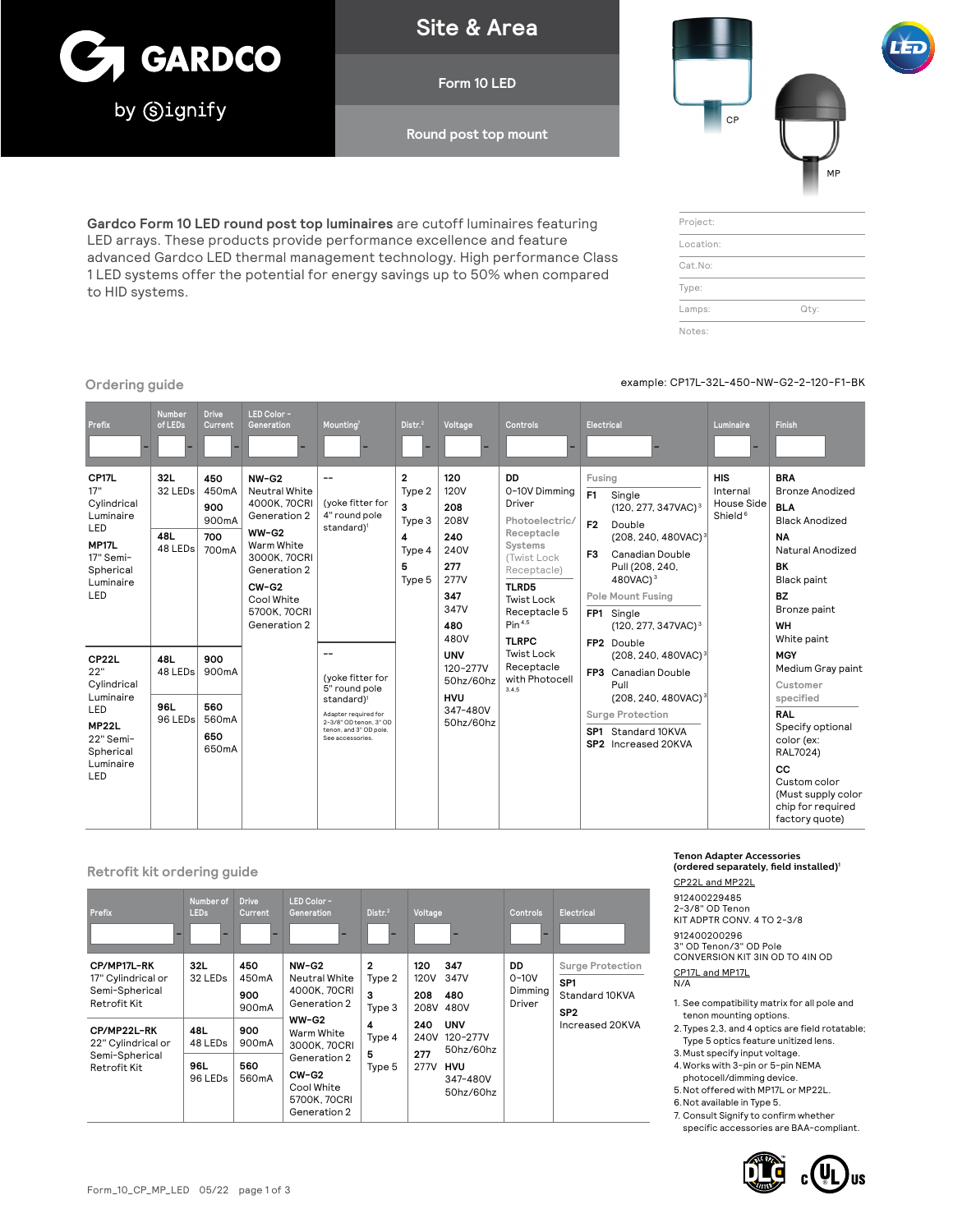

**Site & Area**

**Form 10 LED**

**Round post top mount**

**Gardco Form 10 LED round post top luminaires** are cutoff luminaires featuring LED arrays. These products provide performance excellence and feature advanced Gardco LED thermal management technology. High performance Class 1 LED systems offer the potential for energy savings up to 50% when compared to HID systems.

# CP MP

| Project:  |      |
|-----------|------|
| Location: |      |
| Cat.No:   |      |
| Type:     |      |
| Lamps:    | Qty: |
| Notes:    |      |

**Contract Contract** 

**Ordering guide** example: CP17L-32L-450-NW-G2-2-120-F1-BK

<u> 1989 - Jan Barnett, fransk politik (</u>

| Prefix                                                                                                                           | Number<br>of LEDs                            | <b>Drive</b><br>Current                                                | LED Color -<br>Generation                                                                                                                                                  | Mounting <sup>7</sup>                                                                                                                                             | Distr. <sup>2</sup>                                                 | Voltage                                                                                       | <b>Controls</b>                                                                                                                                                                            | Electrical                                                                                                                                                                                                                                                                                                                | Luminaire                                                          | <b>Finish</b>                                                                                                                                                                                           |
|----------------------------------------------------------------------------------------------------------------------------------|----------------------------------------------|------------------------------------------------------------------------|----------------------------------------------------------------------------------------------------------------------------------------------------------------------------|-------------------------------------------------------------------------------------------------------------------------------------------------------------------|---------------------------------------------------------------------|-----------------------------------------------------------------------------------------------|--------------------------------------------------------------------------------------------------------------------------------------------------------------------------------------------|---------------------------------------------------------------------------------------------------------------------------------------------------------------------------------------------------------------------------------------------------------------------------------------------------------------------------|--------------------------------------------------------------------|---------------------------------------------------------------------------------------------------------------------------------------------------------------------------------------------------------|
| CP17L<br>17"<br>Cylindrical<br>Luminaire<br>LED<br><b>MP17L</b><br>17" Semi-<br>Spherical<br>Luminaire<br>LED                    | 32L<br>32 LED <sub>s</sub><br>48L<br>48 LEDs | 450<br>450mA<br>900<br>900 <sub>m</sub> A<br>700<br>700 <sub>m</sub> A | $NW-G2$<br>Neutral White<br>4000K, 70CRI<br>Generation 2<br>$WW-G2$<br>Warm White<br>3000K, 70CRI<br>Generation 2<br>$CW-G2$<br>Cool White<br>5700K. 70CRI<br>Generation 2 | --<br>(yoke fitter for<br>4" round pole<br>standard) <sup>1</sup>                                                                                                 | $\mathbf{2}$<br>Type 2<br>3<br>Type 3<br>4<br>Type 4<br>5<br>Type 5 | 120<br><b>120V</b><br>208<br>208V<br>240<br>240V<br>277<br>277V<br>347<br>347V<br>480<br>480V | DD<br>0-10V Dimming<br>Driver<br>Photoelectric/<br>Receptacle<br>Systems<br>(Twist Lock<br>Receptacle)<br>TLRD5<br><b>Twist Lock</b><br>Receptacle 5<br>Pin <sup>4.5</sup><br><b>TLRPC</b> | Fusing<br>F1<br>Single<br>(120, 277, 347VAC) <sup>3</sup><br>F <sub>2</sub><br>Double<br>(208, 240, 480VAC) <sup>3</sup><br><b>Canadian Double</b><br>F <sub>3</sub><br>Pull (208, 240,<br>480VAC1 <sup>3</sup><br><b>Pole Mount Fusing</b><br>FP <sub>1</sub><br>Single<br>(120, 277, 347VAC) <sup>3</sup><br>FP2 Double | <b>HIS</b><br>Internal<br><b>House Side</b><br>Shield <sup>6</sup> | <b>BRA</b><br><b>Bronze Anodized</b><br><b>BLA</b><br><b>Black Anodized</b><br><b>NA</b><br>Natural Anodized<br><b>BK</b><br>Black paint<br><b>BZ</b><br>Bronze paint<br><b>WH</b><br>White paint       |
| CP <sub>22</sub> L<br>22"<br>Cylindrical<br>Luminaire<br>LED<br>MP <sub>22</sub> L<br>22" Semi-<br>Spherical<br>Luminaire<br>LED | 48L<br>48 LEDs<br>96L<br>96 LEDs             | 900<br>900mA<br>560<br>560mA<br>650<br>650mA                           |                                                                                                                                                                            | --<br>(yoke fitter for<br>5" round pole<br>standard) <sup>1</sup><br>Adapter required for<br>2-3/8" OD tenon, 3" OD<br>tenon, and 3" OD pole.<br>See accessories. |                                                                     | <b>UNV</b><br>120-277V<br>50hz/60hz<br><b>HVU</b><br>347-480V<br>50hz/60hz                    | Twist Lock<br>Receptacle<br>with Photocell<br>3.4.5                                                                                                                                        | (208, 240, 480VAC) <sup>3</sup><br><b>Canadian Double</b><br>FP3<br>Pull<br>(208, 240, 480VAC) <sup>3</sup><br><b>Surge Protection</b><br>SP1 Standard 10KVA<br>SP2 Increased 20KVA                                                                                                                                       |                                                                    | <b>MGY</b><br>Medium Gray paint<br>Customer<br>specified<br><b>RAL</b><br>Specify optional<br>color (ex:<br>RAL7024)<br>CC<br>Custom color<br>(Must supply color<br>chip for required<br>factory quote) |

#### **Retrofit kit ordering guide**

| <b>Prefix</b>                                                       | Number of<br><b>LEDs</b>                                 | <b>Drive</b><br>Current                   | LED Color-<br>Generation                                                                                       | Dist <sup>2</sup>                     | Voltage                                                                                                  | <b>Controls</b>                     | Electrical                                                               |
|---------------------------------------------------------------------|----------------------------------------------------------|-------------------------------------------|----------------------------------------------------------------------------------------------------------------|---------------------------------------|----------------------------------------------------------------------------------------------------------|-------------------------------------|--------------------------------------------------------------------------|
| CP/MP17L-RK<br>17" Cylindrical or<br>Semi-Spherical<br>Retrofit Kit | 32L<br>32 LED <sub>s</sub>                               | 450<br>450mA<br>900<br>900 <sub>m</sub> A | $NW-G2$<br>Neutral White<br>4000K, 70CRI<br>Generation 2                                                       | $\mathbf{2}$<br>Type 2<br>3<br>Type 3 | 347<br>120<br><b>120V</b><br>347V<br>208<br>480<br>208V<br>480V                                          | DD.<br>$0-10V$<br>Dimming<br>Driver | Surge Protection<br>SP <sub>1</sub><br>Standard 10KVA<br>SP <sub>2</sub> |
| CP/MP22L-RK<br>22" Cylindrical or<br>Semi-Spherical<br>Retrofit Kit | 48L<br>48 LED <sub>s</sub><br>96L<br>96 LED <sub>s</sub> | 900<br>900mA<br>560<br>560mA              | $WW-G2$<br>Warm White<br>3000K, 70CRI<br>Generation 2<br>$CW-G2$<br>Cool White<br>5700K, 70CRI<br>Generation 2 | 4<br>Type 4<br>5<br>Type 5            | 240<br><b>UNV</b><br>240V<br>120-277V<br>50hz/60hz<br>277<br>277V<br><b>HVU</b><br>347-480V<br>50hz/60hz |                                     | Increased 20KVA                                                          |

### **Tenon Adapter Accessories (ordered separately, field installed)1**

CP22L and MP22L 912400229485 2-3/8" OD Tenon KIT ADPTR CONV. 4 TO 2-3/8 912400200296 3" OD Tenon/3" OD Pole CONVERSION KIT 3IN OD TO 4IN OD CP17L and MP17L N/A

- 1. See compatibility matrix for all pole and tenon mounting options.
- 2.Types 2,3, and 4 optics are field rotatable; Type 5 optics feature unitized lens.
- 3.Must specify input voltage.
- 4.Works with 3-pin or 5-pin NEMA
- photocell/dimming device.
- 5.Not offered with MP17L or MP22L.
- 6.Not available in Type 5.

7. Consult Signify to confirm whether specific accessories are BAA-compliant.

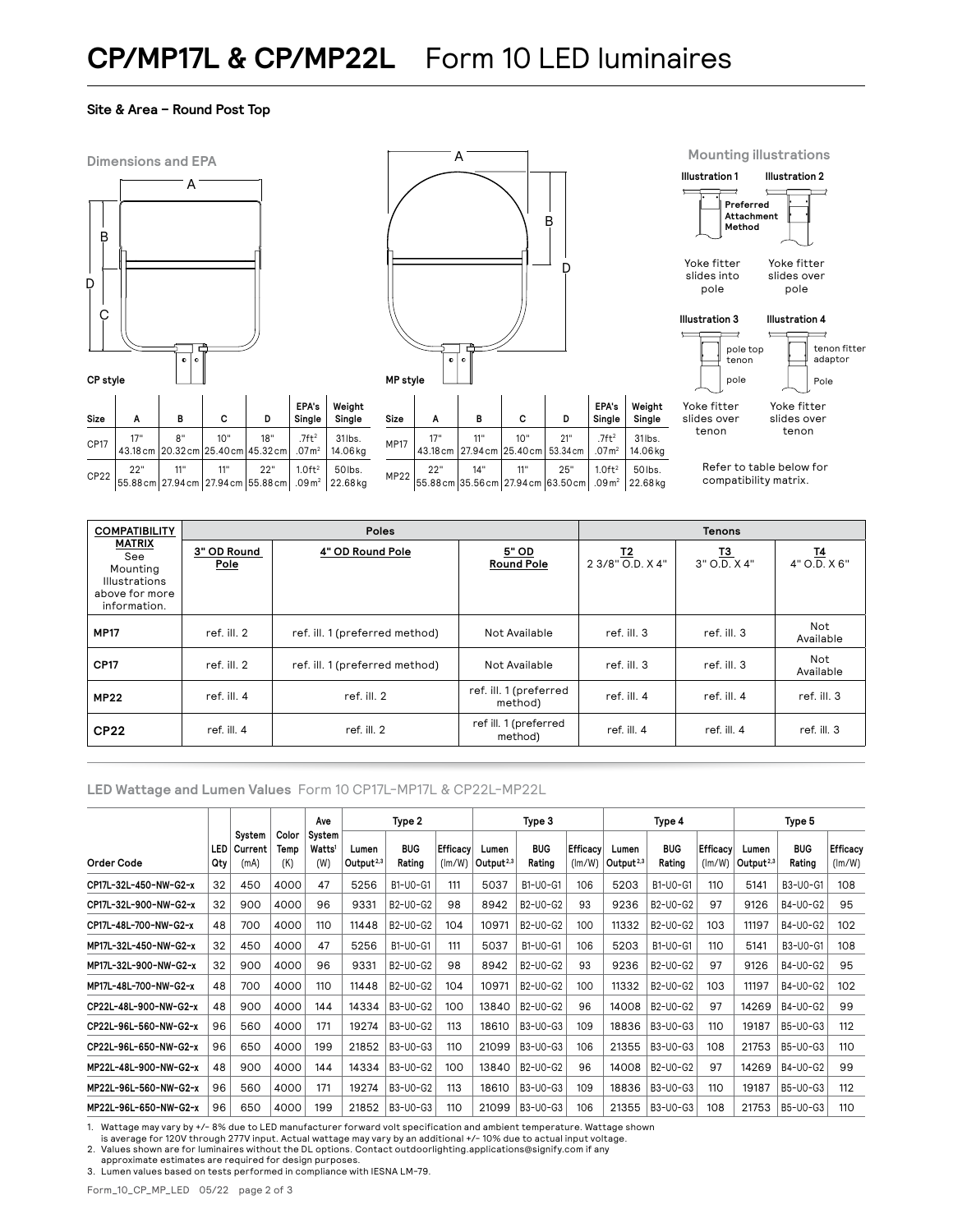## **CP/MP17L & CP/MP22L** Form 10 LED luminaires

#### **Site & Area – Round Post Top**







**EPA's**



**Mounting illustrations**

**Illustration 1**

**Illustration 2**

Yoke fitter slides over tenon pole

Yoke fitter slides over tenon Pole

Refer to table below for compatibility matrix.

| <b>COMPATIBILITY</b>                                                                       |                     | Poles                          | <b>Tenons</b>                     |                        |                           |                           |  |
|--------------------------------------------------------------------------------------------|---------------------|--------------------------------|-----------------------------------|------------------------|---------------------------|---------------------------|--|
| <b>MATRIX</b><br>See<br>Mounting<br><b>Illustrations</b><br>above for more<br>information. | 3" OD Round<br>Pole | 4" OD Round Pole               | 5" OD<br><b>Round Pole</b>        | I2<br>2 3/8" O.D. X 4" | <u>13</u><br>3" O.D. X 4" | <u>14</u><br>4" O.D. X 6" |  |
| <b>MP17</b>                                                                                | ref. ill. 2         | ref. ill. 1 (preferred method) | Not Available                     | ref. ill. 3            | ref. ill. 3               | Not<br>Available          |  |
| <b>CP17</b>                                                                                | ref. ill. 2         | ref. ill. 1 (preferred method) | Not Available                     | ref. ill. 3            | ref. ill. 3               | Not<br>Available          |  |
| <b>MP22</b>                                                                                | ref. ill. 4         | ref. ill. 2                    | ref. ill. 1 (preferred<br>method) | ref. ill. 4            | ref. ill. 4               | ref. ill. 3               |  |
| <b>CP22</b>                                                                                | ref. ill. 4         | ref. ill. 2                    | ref ill. 1 (preferred<br>method)  | ref. ill. 4            | ref. ill. 4               | ref. ill. 3               |  |

#### **LED Wattage and Lumen Values** Form 10 CP17L-MP17L & CP22L-MP22L

31lbs.

|                       | LED<br>Qty |                           |                      | Ave                                 | Type 2                |                      |                    | Type 3                         |                      |                           | Type 4                         |                      |                           | Type 5                         |                      |                           |
|-----------------------|------------|---------------------------|----------------------|-------------------------------------|-----------------------|----------------------|--------------------|--------------------------------|----------------------|---------------------------|--------------------------------|----------------------|---------------------------|--------------------------------|----------------------|---------------------------|
| Order Code            |            | System<br>Current<br>(mA) | Color<br>Temp<br>(K) | System<br>Watts <sup>1</sup><br>(W) | Lumen<br>Output $2,3$ | <b>BUG</b><br>Rating | Efficacy<br>(lm/W) | Lumen<br>Output <sup>2,3</sup> | <b>BUG</b><br>Rating | <b>Efficacy</b><br>(lm/W) | Lumen<br>Output <sup>2,3</sup> | <b>BUG</b><br>Rating | <b>Efficacy</b><br>(lm/W) | Lumen<br>Output <sup>2,3</sup> | <b>BUG</b><br>Rating | <b>Efficacy</b><br>(lm/W) |
| CP17L-32L-450-NW-G2-x | 32         | 450                       | 4000                 | 47                                  | 5256                  | B1-U0-G1             | 111                | 5037                           | B1-U0-G1             | 106                       | 5203                           | B1-U0-G1             | 110                       | 5141                           | B3-U0-G1             | 108                       |
| CP17L-32L-900-NW-G2-x | 32         | 900                       | 4000                 | 96                                  | 9331                  | B2-U0-G2             | 98                 | 8942                           | B2-U0-G2             | 93                        | 9236                           | B2-U0-G2             | 97                        | 9126                           | B4-U0-G2             | 95                        |
| CP17L-48L-700-NW-G2-x | 48         | 700                       | 4000                 | 110                                 | 11448                 | B2-U0-G2             | 104                | 10971                          | B2-U0-G2             | 100                       | 11332                          | B2-U0-G2             | 103                       | 11197                          | B4-U0-G2             | 102                       |
| MP17L-32L-450-NW-G2-x | 32         | 450                       | 4000                 | 47                                  | 5256                  | B1-U0-G1             | 111                | 5037                           | B1-U0-G1             | 106                       | 5203                           | B1-U0-G1             | 110                       | 5141                           | B3-U0-G1             | 108                       |
| MP17L-32L-900-NW-G2-x | 32         | 900                       | 4000                 | 96                                  | 9331                  | B2-U0-G2             | 98                 | 8942                           | B2-U0-G2             | 93                        | 9236                           | B2-U0-G2             | 97                        | 9126                           | B4-U0-G2             | 95                        |
| MP17L-48L-700-NW-G2-x | 48         | 700                       | 4000                 | 110                                 | 11448                 | B2-U0-G2             | 104                | 10971                          | B2-U0-G2             | 100                       | 11332                          | B2-U0-G2             | 103                       | 11197                          | B4-U0-G2             | 102                       |
| CP22L-48L-900-NW-G2-x | 48         | 900                       | 4000                 | 144                                 | 14334                 | B3-U0-G2             | 100                | 13840                          | B2-U0-G2             | 96                        | 14008                          | B2-U0-G2             | 97                        | 14269                          | B4-U0-G2             | 99                        |
| CP22L-96L-560-NW-G2-x | 96         | 560                       | 4000                 | 171                                 | 19274                 | B3-U0-G2             | 113                | 18610                          | B3-U0-G3             | 109                       | 18836                          | B3-U0-G3             | 110                       | 19187                          | B5-U0-G3             | 112                       |
| CP22L-96L-650-NW-G2-x | 96         | 650                       | 4000                 | 199                                 | 21852                 | B3-U0-G3             | 110                | 21099                          | B3-U0-G3             | 106                       | 21355                          | B3-U0-G3             | 108                       | 21753                          | B5-U0-G3             | 110                       |
| MP22L-48L-900-NW-G2-x | 48         | 900                       | 4000                 | 144                                 | 14334                 | B3-U0-G2             | 100                | 13840                          | B2-U0-G2             | 96                        | 14008                          | B2-U0-G2             | 97                        | 14269                          | B4-U0-G2             | 99                        |
| MP22L-96L-560-NW-G2-x | 96         | 560                       | 4000                 | 171                                 | 19274                 | B3-U0-G2             | 113                | 18610                          | B3-U0-G3             | 109                       | 18836                          | B3-U0-G3             | 110                       | 19187                          | B5-U0-G3             | 112                       |
| MP22L-96L-650-NW-G2-x | 96         | 650                       | 4000                 | 199                                 | 21852                 | B3-U0-G3             | 110                | 21099                          | B3-U0-G3             | 106                       | 21355                          | B3-U0-G3             | 108                       | 21753                          | B5-U0-G3             | 110                       |

1. Wattage may vary by +/- 8% due to LED manufacturer forward volt specification and ambient temperature. Wattage shown

is average for 120V through 277V input. Actual wattage may vary by an additional +/- 10% due to actual input voltage.<br>2. Values shown are for luminaires without the DL options. Contact outdoorlighting.applications@signify

approximate estimates are required for design purposes.

3. Lumen values based on tests performed in compliance with IESNA LM-79.